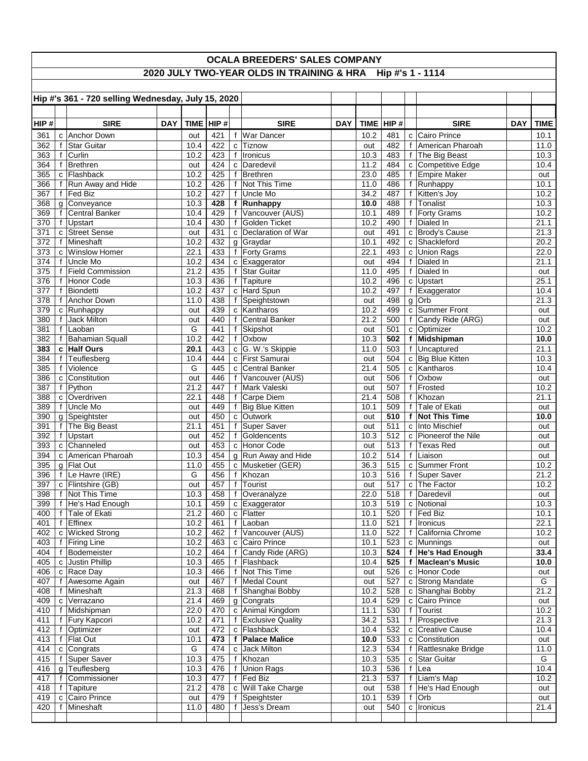| OCALA BREEDERS' SALES COMPANY                              |   |                                    |            |              |            |              |                                     |            |              |                |   |                                       |            |              |
|------------------------------------------------------------|---|------------------------------------|------------|--------------|------------|--------------|-------------------------------------|------------|--------------|----------------|---|---------------------------------------|------------|--------------|
| 2020 JULY TWO-YEAR OLDS IN TRAINING & HRA Hip #'s 1 - 1114 |   |                                    |            |              |            |              |                                     |            |              |                |   |                                       |            |              |
| Hip #'s 361 - 720 selling Wednesday, July 15, 2020         |   |                                    |            |              |            |              |                                     |            |              |                |   |                                       |            |              |
|                                                            |   |                                    |            |              |            |              |                                     |            |              |                |   |                                       |            |              |
|                                                            |   |                                    |            |              |            |              |                                     |            |              |                |   |                                       |            |              |
| HIP#                                                       |   | <b>SIRE</b>                        | <b>DAY</b> |              | TIME HIP#  |              | <b>SIRE</b>                         | <b>DAY</b> |              | TIME $ $ HIP # |   | <b>SIRE</b>                           | <b>DAY</b> | <b>TIME</b>  |
| 361<br>362                                                 |   | c Anchor Down<br>f Star Guitar     |            | out<br>10.4  | 421<br>422 |              | f War Dancer<br>c Tiznow            |            | 10.2<br>out  | 481<br>482     |   | c Cairo Prince<br>f American Pharoah  |            | 10.1<br>11.0 |
| 363                                                        |   | f Curlin                           |            | 10.2         | 423        |              | f   Ironicus                        |            | 10.3         | 483            |   | f The Big Beast                       |            | 10.3         |
| 364                                                        |   | f Brethren                         |            | out          | 424        |              | c Daredevil                         |            | 11.2         | 484            |   | c Competitive Edge                    |            | 10.4         |
| 365                                                        |   | c Flashback                        |            | 10.2         | 425        | f            | Brethren                            |            | 23.0         | 485            |   | f Empire Maker                        |            | out          |
| 366<br>367                                                 |   | f Run Away and Hide<br>f   Fed Biz |            | 10.2<br>10.2 | 426<br>427 | f<br>f       | Not This Time<br>Uncle Mo           |            | 11.0<br>34.2 | 486<br>487     |   | f Runhappy<br>f Kitten's Joy          |            | 10.1<br>10.2 |
| 368                                                        |   | g Conveyance                       |            | 10.3         | 428        |              | f Runhappy                          |            | 10.0         | 488            |   | f Tonalist                            |            | 10.3         |
| 369                                                        |   | f Central Banker                   |            | 10.4         | 429        | f            | Vancouver (AUS)                     |            | 10.1         | 489            |   | f   Forty Grams                       |            | 10.2         |
| 370                                                        |   | f Upstart                          |            | 10.4         | 430        |              | f Golden Ticket                     |            | 10.2         | 490            |   | f Dialed In                           |            | 21.1         |
| 371                                                        |   | c Street Sense                     |            | out          | 431        |              | c Declaration of War                |            | out          | 491            |   | c Brody's Cause                       |            | 21.3         |
| 372                                                        |   | f Mineshaft                        |            | 10.2         | 432        |              | g Graydar                           |            | 10.1         | 492            |   | c Shackleford                         |            | 20.2         |
| 373<br>374                                                 |   | c Winslow Homer<br>f Uncle Mo      |            | 22.1<br>10.2 | 433<br>434 |              | f Forty Grams<br>c Exaggerator      |            | 22.1<br>out  | 493<br>494     | f | c Union Rags<br>Dialed In             |            | 22.0<br>21.1 |
| 375                                                        |   | f Field Commission                 |            | 21.2         | 435        |              | f Star Guitar                       |            | 11.0         | 495            |   | f Dialed In                           |            | out          |
| 376                                                        |   | f Honor Code                       |            | 10.3         | 436        |              | f Tapiture                          |            | 10.2         | 496            |   | c Upstart                             |            | 25.1         |
| 377                                                        |   | f Biondetti                        |            | 10.2         | 437        |              | c Hard Spun                         |            | 10.2         | 497            |   | f Exaggerator                         |            | 10.4         |
| 378                                                        |   | f Anchor Down                      |            | 11.0         | 438        |              | f Speightstown                      |            | out          | 498            |   | $g$ Orb                               |            | 21.3         |
| 379<br>380                                                 |   | c Runhappy<br>f Jack Milton        |            | out          | 439<br>440 |              | c Kantharos<br>f Central Banker     |            | 10.2<br>21.2 | 499<br>500     |   | c Summer Front<br>f Candy Ride (ARG)  |            | out          |
| 381                                                        |   | f Laoban                           |            | out<br>G     | 441        |              | f Skipshot                          |            | out          | 501            |   | c Optimizer                           |            | out<br>10.2  |
| 382                                                        |   | f Bahamian Squall                  |            | 10.2         | 442        |              | f Oxbow                             |            | 10.3         | 502            |   | f Midshipman                          |            | 10.0         |
| 383                                                        |   | c Half Ours                        |            | 20.1         | 443        |              | c G. W.'s Skippie                   |            | 11.0         | 503            |   | f Uncaptured                          |            | 21.1         |
| 384                                                        |   | f Teuflesberg                      |            | 10.4         | 444        |              | c First Samurai                     |            | out          | 504            |   | c Big Blue Kitten                     |            | 10.3         |
| 385                                                        |   | f Violence                         |            | G            | 445        |              | c Central Banker                    |            | 21.4         | 505            |   | c Kantharos                           |            | 10.4         |
| 386                                                        |   | c Constitution                     |            | out          | 446        | f            | f Vancouver (AUS)<br>Mark Valeski   |            | out          | 506            |   | f Oxbow<br>f Frosted                  |            | out          |
| 387<br>388                                                 |   | f Python<br>c Overdriven           |            | 21.2<br>22.1 | 447<br>448 | $\mathbf{f}$ | Carpe Diem                          |            | out<br>21.4  | 507<br>508     |   | f Khozan                              |            | 10.2<br>21.1 |
| 389                                                        |   | f Uncle Mo                         |            | out          | 449        |              | f Big Blue Kitten                   |            | 10.1         | 509            |   | f Tale of Ekati                       |            | out          |
| 390                                                        |   | g Speightster                      |            | out          | 450        |              | c Outwork                           |            | out          | 510            |   | f Not This Time                       |            | 10.0         |
| 391                                                        |   | f The Big Beast                    |            | 21.1         | 451        |              | f Super Saver                       |            | out          | 511            |   | c Into Mischief                       |            | out          |
| 392                                                        |   | f Upstart                          |            | out          | 452        |              | f Goldencents                       |            | 10.3         | 512            |   | c Pioneerof the Nile                  |            | out          |
| 393<br>394                                                 |   | c Channeled<br>c American Pharoah  |            | out<br>10.3  | 453<br>454 |              | c Honor Code<br>g Run Away and Hide |            | out<br>10.2  | 513<br>514     |   | f Texas Red<br>f Liaison              |            | out          |
| 395                                                        |   | g Flat Out                         |            | 11.0         | 455        |              | c Musketier (GER)                   |            | 36.3         | 515            |   | c Summer Front                        |            | out<br>10.2  |
| 396                                                        |   | f   Le Havre (IRE)                 |            | G            | 456        |              | f Khozan                            |            | 10.3         | 516            |   | f Super Saver                         |            | 21.2         |
| 397                                                        |   | c   Flintshire (GB)                |            | out          | 457        |              | † ∣Tourist                          |            | out          | 517            |   | c The Factor                          |            | 10.2         |
| 398                                                        |   | f Not This Time                    |            | 10.3         | 458        |              | f Overanalyze                       |            | 22.0         | 518            |   | f Daredevil                           |            | out          |
| 399                                                        |   | f He's Had Enough                  |            | 10.1         | 459        |              | c Exaggerator                       |            | 10.3         | 519            |   | c Notional                            |            | 10.3         |
| 400<br>401                                                 |   | f Tale of Ekati<br>f Effinex       |            | 21.2<br>10.2 | 460<br>461 | f            | c Flatter<br>Laoban                 |            | 10.1<br>11.0 | 520<br>521     |   | f Fed Biz<br>f Ironicus               |            | 10.1<br>22.1 |
| 402                                                        |   | c Wicked Strong                    |            | 10.2         | 462        |              | f Vancouver (AUS)                   |            | 11.0         | 522            |   | f California Chrome                   |            | 10.2         |
| 403                                                        |   | f Firing Line                      |            | 10.2         | 463        |              | c Cairo Prince                      |            | 10.1         | 523            |   | $c$ Munnings                          |            | out          |
| 404                                                        |   | f Bodemeister                      |            | 10.2         | 464        | f            | Candy Ride (ARG)                    |            | 10.3         | 524            |   | f He's Had Enough                     |            | 33.4         |
| 405                                                        |   | c Justin Phillip                   |            | 10.3         | 465        |              | f Flashback                         |            | 10.4         | 525            |   | f Maclean's Music                     |            | 10.0         |
| 406                                                        |   | c Race Day                         |            | 10.3         | 466        | f            | Not This Time                       |            | out          | 526            |   | c Honor Code                          |            | out          |
| 407<br>408                                                 |   | f Awesome Again<br>f Mineshaft     |            | out<br>21.3  | 467<br>468 | f            | Medal Count<br>f Shanghai Bobby     |            | out<br>10.2  | 527<br>528     |   | c Strong Mandate<br>c Shanghai Bobby  |            | G<br>21.2    |
| 409                                                        |   | c Verrazano                        |            | 21.4         | 469        |              | g Congrats                          |            | 10.4         | 529            |   | c Cairo Prince                        |            | out          |
| 410                                                        |   | f Midshipman                       |            | 22.0         | 470        |              | c Animal Kingdom                    |            | 11.1         | 530            |   | f   Tourist                           |            | 10.2         |
| 411                                                        |   | f Fury Kapcori                     |            | 10.2         | 471        |              | f Exclusive Quality                 |            | 34.2         | 531            |   | f Prospective                         |            | 21.3         |
| 412                                                        |   | f   Optimizer                      |            | out          | 472        |              | c Flashback                         |            | 10.4         | 532            |   | c Creative Cause                      |            | 10.4         |
| 413                                                        |   | f Flat Out                         |            | 10.1<br>G    | 473<br>474 |              | f Palace Malice<br>c Jack Milton    |            | 10.0         | 533            |   | c Constitution                        |            | out          |
| 414<br>415                                                 |   | c Congrats<br>f Super Saver        |            | 10.3         | 475        | f            | Khozan                              |            | 12.3<br>10.3 | 534<br>535     |   | f Rattlesnake Bridge<br>c Star Guitar |            | 11.0<br>G    |
| 416                                                        |   | g Teuflesberg                      |            | 10.3         | 476        | f            | Union Rags                          |            | 10.3         | 536            |   | f Lea                                 |            | 10.4         |
| 417                                                        |   | f Commissioner                     |            | 10.3         | 477        |              | f   Fed Biz                         |            | 21.3         | 537            |   | f Liam's Map                          |            | 10.2         |
| 418                                                        | f | Tapiture                           |            | 21.2         | 478        |              | c Will Take Charge                  |            | out          | 538            |   | f   He's Had Enough                   |            | out          |
| 419                                                        |   | c Cairo Prince                     |            | out          | 479        |              | f Speightster                       |            | 10.1         | 539            |   | f Orb                                 |            | out          |
| 420                                                        |   | f Mineshaft                        |            | 11.0         | 480        | f            | Jess's Dream                        |            | out          | 540            |   | c  Ironicus                           |            | 21.4         |
|                                                            |   |                                    |            |              |            |              |                                     |            |              |                |   |                                       |            |              |